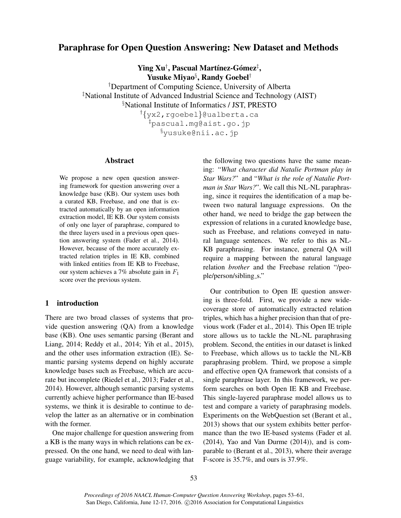# Paraphrase for Open Question Answering: New Dataset and Methods

 $\mathbf{Ying\;} \mathbf{Xu}^\dagger, \mathbf{Pascal\; Martínez-Gómez^\ddagger,}$ Yusuke Miyao§ , Randy Goebel†

†Department of Computing Science, University of Alberta ‡National Institute of Advanced Industrial Science and Technology (AIST) §National Institute of Informatics / JST, PRESTO

†{yx2,rgoebel}@ualberta.ca ‡pascual.mg@aist.go.jp §yusuke@nii.ac.jp

#### Abstract

We propose a new open question answering framework for question answering over a knowledge base (KB). Our system uses both a curated KB, Freebase, and one that is extracted automatically by an open information extraction model, IE KB. Our system consists of only one layer of paraphrase, compared to the three layers used in a previous open question answering system (Fader et al., 2014). However, because of the more accurately extracted relation triples in IE KB, combined with linked entities from IE KB to Freebase, our system achieves a 7% absolute gain in  $F_1$ score over the previous system.

# 1 introduction

There are two broad classes of systems that provide question answering (QA) from a knowledge base (KB). One uses semantic parsing (Berant and Liang, 2014; Reddy et al., 2014; Yih et al., 2015), and the other uses information extraction (IE). Semantic parsing systems depend on highly accurate knowledge bases such as Freebase, which are accurate but incomplete (Riedel et al., 2013; Fader et al., 2014). However, although semantic parsing systems currently achieve higher performance than IE-based systems, we think it is desirable to continue to develop the latter as an alternative or in combination with the former.

One major challenge for question answering from a KB is the many ways in which relations can be expressed. On the one hand, we need to deal with language variability, for example, acknowledging that the following two questions have the same meaning: "*What character did Natalie Portman play in Star Wars?*" and "*What is the role of Natalie Portman in Star Wars?*". We call this NL-NL paraphrasing, since it requires the identification of a map between two natural language expressions. On the other hand, we need to bridge the gap between the expression of relations in a curated knowledge base, such as Freebase, and relations conveyed in natural language sentences. We refer to this as NL-KB paraphrasing. For instance, general QA will require a mapping between the natural language relation *brother* and the Freebase relation "/people/person/sibling\_s."

Our contribution to Open IE question answering is three-fold. First, we provide a new widecoverage store of automatically extracted relation triples, which has a higher precision than that of previous work (Fader et al., 2014). This Open IE triple store allows us to tackle the NL-NL paraphrasing problem. Second, the entities in our dataset is linked to Freebase, which allows us to tackle the NL-KB paraphrasing problem. Third, we propose a simple and effective open QA framework that consists of a single paraphrase layer. In this framework, we perform searches on both Open IE KB and Freebase. This single-layered paraphrase model allows us to test and compare a variety of paraphrasing models. Experiments on the WebQuestion set (Berant et al., 2013) shows that our system exhibits better performance than the two IE-based systems (Fader et al. (2014), Yao and Van Durme (2014)), and is comparable to (Berant et al., 2013), where their average F-score is 35.7%, and ours is 37.9%.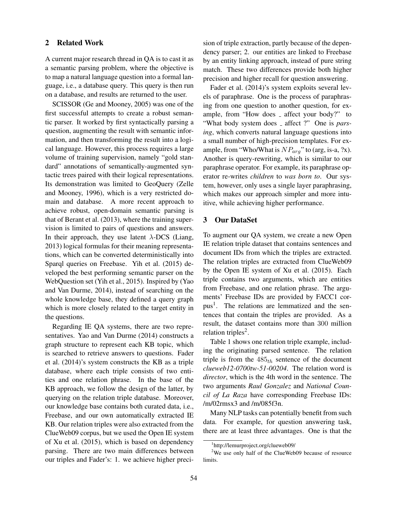# 2 Related Work

A current major research thread in QA is to cast it as a semantic parsing problem, where the objective is to map a natural language question into a formal language, i.e., a database query. This query is then run on a database, and results are returned to the user.

SCISSOR (Ge and Mooney, 2005) was one of the first successful attempts to create a robust semantic parser. It worked by first syntactically parsing a question, augmenting the result with semantic information, and then transforming the result into a logical language. However, this process requires a large volume of training supervision, namely "gold standard" annotations of semantically-augmented syntactic trees paired with their logical representations. Its demonstration was limited to GeoQuery (Zelle and Mooney, 1996), which is a very restricted domain and database. A more recent approach to achieve robust, open-domain semantic parsing is that of Berant et al. (2013), where the training supervision is limited to pairs of questions and answers. In their approach, they use latent  $\lambda$ -DCS (Liang, 2013) logical formulas for their meaning representations, which can be converted deterministically into Sparql queries on Freebase. Yih et al. (2015) developed the best performing semantic parser on the WebQuestion set (Yih et al., 2015). Inspired by (Yao and Van Durme, 2014), instead of searching on the whole knowledge base, they defined a query graph which is more closely related to the target entity in the questions.

Regarding IE QA systems, there are two representatives. Yao and Van Durme (2014) constructs a graph structure to represent each KB topic, which is searched to retrieve answers to questions. Fader et al. (2014)'s system constructs the KB as a triple database, where each triple consists of two entities and one relation phrase. In the base of the KB approach, we follow the design of the latter, by querying on the relation triple database. Moreover, our knowledge base contains both curated data, i.e., Freebase, and our own automatically extracted IE KB. Our relation triples were also extracted from the ClueWeb09 corpus, but we used the Open IE system of Xu et al. (2015), which is based on dependency parsing. There are two main differences between our triples and Fader's: 1. we achieve higher precision of triple extraction, partly because of the dependency parser; 2. our entities are linked to Freebase by an entity linking approach, instead of pure string match. These two differences provide both higher precision and higher recall for question answering.

Fader et al. (2014)'s system exploits several levels of paraphrase. One is the process of paraphrasing from one question to another question, for example, from "How does \_ affect your body?" to "What body system does \_ affect ?" One is *parsing*, which converts natural language questions into a small number of high-precision templates. For example, from "Who/What is  $NP_{arg}$ " to (arg, is-a, ?x). Another is query-rewriting, which is similar to our paraphrase operator. For example, its paraphrase operator re-writes *children* to *was born to*. Our system, however, only uses a single layer paraphrasing, which makes our approach simpler and more intuitive, while achieving higher performance.

# 3 Our DataSet

To augment our QA system, we create a new Open IE relation triple dataset that contains sentences and document IDs from which the triples are extracted. The relation triples are extracted from ClueWeb09 by the Open IE system of Xu et al. (2015). Each triple contains two arguments, which are entities from Freebase, and one relation phrase. The arguments' Freebase IDs are provided by FACC1 corpus<sup>1</sup>. The relations are lemmatized and the sentences that contain the triples are provided. As a result, the dataset contains more than 300 million relation triples<sup>2</sup>.

Table 1 shows one relation triple example, including the originating parsed sentence. The relation triple is from the  $485<sub>th</sub>$  sentence of the document *clueweb12-0700tw-51-00204*. The relation word is *director*, which is the 4th word in the sentence. The two arguments *Raul Gonzalez* and *National Council of La Raza* have corresponding Freebase IDs: /m/02rmsx3 and /m/085f3n.

Many NLP tasks can potentially benefit from such data. For example, for question answering task, there are at least three advantages. One is that the

<sup>1</sup> http://lemurproject.org/clueweb09/

<sup>&</sup>lt;sup>2</sup>We use only half of the ClueWeb09 because of resource limits.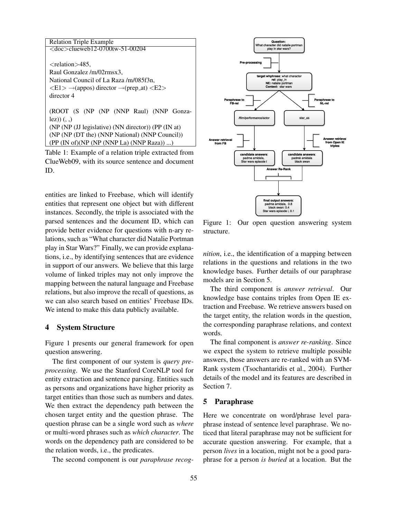| <b>Relation Triple Example</b>                                                                 |  |  |
|------------------------------------------------------------------------------------------------|--|--|
| $<$ doc $>$ clueweb12-0700tw-51-00204                                                          |  |  |
|                                                                                                |  |  |
| $\langle$ relation $>485$ .                                                                    |  |  |
| Raul Gonzalez /m/02rmsx3,                                                                      |  |  |
| National Council of La Raza/m/085f3n.                                                          |  |  |
| $\langle E1 \rangle \rightarrow$ (appos) director $\rightarrow$ (prep_at) $\langle E2 \rangle$ |  |  |
| director 4                                                                                     |  |  |
|                                                                                                |  |  |
| (ROOT (S (NP (NP (NNP Raul) (NNP Gonza-                                                        |  |  |
| $\{ez\}$ $\}$ $\ldots$                                                                         |  |  |
| (NP (NP (JJ legislative) (NN director)) (PP (IN at)                                            |  |  |
| (NP (NP (DT the) (NNP National) (NNP Council))                                                 |  |  |
| (PP (IN of)(NP (NP (NNP La) (NNP Raza)) )                                                      |  |  |

Table 1: Example of a relation triple extracted from ClueWeb09, with its source sentence and document ID.

entities are linked to Freebase, which will identify entities that represent one object but with different instances. Secondly, the triple is associated with the parsed sentences and the document ID, which can provide better evidence for questions with n-ary relations, such as "What character did Natalie Portman play in Star Wars?" Finally, we can provide explanations, i.e., by identifying sentences that are evidence in support of our answers. We believe that this large volume of linked triples may not only improve the mapping between the natural language and Freebase relations, but also improve the recall of questions, as we can also search based on entities' Freebase IDs. We intend to make this data publicly available.

#### 4 System Structure

Figure 1 presents our general framework for open question answering.

The first component of our system is *query preprocessing*. We use the Stanford CoreNLP tool for entity extraction and sentence parsing. Entities such as persons and organizations have higher priority as target entities than those such as numbers and dates. We then extract the dependency path between the chosen target entity and the question phrase. The question phrase can be a single word such as *where* or multi-word phrases such as *which character*. The words on the dependency path are considered to be the relation words, i.e., the predicates.

The second component is our *paraphrase recog-*



Figure 1: Our open question answering system structure.

*nition*, i.e., the identification of a mapping between relations in the questions and relations in the two knowledge bases. Further details of our paraphrase models are in Section 5.

The third component is *answer retrieval*. Our knowledge base contains triples from Open IE extraction and Freebase. We retrieve answers based on the target entity, the relation words in the question, the corresponding paraphrase relations, and context words.

The final component is *answer re-ranking*. Since we expect the system to retrieve multiple possible answers, those answers are re-ranked with an SVM-Rank system (Tsochantaridis et al., 2004). Further details of the model and its features are described in Section 7.

#### 5 Paraphrase

Here we concentrate on word/phrase level paraphrase instead of sentence level paraphrase. We noticed that literal paraphrase may not be sufficient for accurate question answering. For example, that a person *lives* in a location, might not be a good paraphrase for a person *is buried* at a location. But the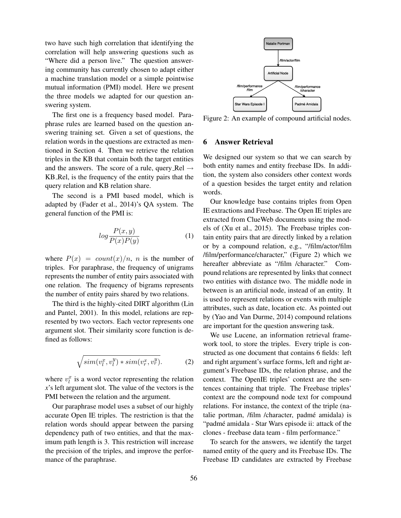two have such high correlation that identifying the correlation will help answering questions such as "Where did a person live." The question answering community has currently chosen to adapt either a machine translation model or a simple pointwise mutual information (PMI) model. Here we present the three models we adapted for our question answering system.

The first one is a frequency based model. Paraphrase rules are learned based on the question answering training set. Given a set of questions, the relation words in the questions are extracted as mentioned in Section 4. Then we retrieve the relation triples in the KB that contain both the target entities and the answers. The score of a rule, query Rel  $\rightarrow$ KB Rel, is the frequency of the entity pairs that the query relation and KB relation share.

The second is a PMI based model, which is adapted by (Fader et al., 2014)'s QA system. The general function of the PMI is:

$$
log\frac{P(x,y)}{P(x)P(y)}\tag{1}
$$

where  $P(x) = count(x)/n$ , *n* is the number of triples. For paraphrase, the frequency of unigrams represents the number of entity pairs associated with one relation. The frequency of bigrams represents the number of entity pairs shared by two relations.

The third is the highly-cited DIRT algorithm (Lin and Pantel, 2001). In this model, relations are represented by two vectors. Each vector represents one argument slot. Their similarity score function is defined as follows:

$$
\sqrt{\text{sim}(v_l^x, v_l^y) \ast \text{sim}(v_r^x, v_r^y)}.\tag{2}
$$

where  $v_l^x$  is a word vector representing the relation *x*'s left argument slot. The value of the vectors is the PMI between the relation and the argument.

Our paraphrase model uses a subset of our highly accurate Open IE triples. The restriction is that the relation words should appear between the parsing dependency path of two entities, and that the maximum path length is 3. This restriction will increase the precision of the triples, and improve the performance of the paraphrase.



Figure 2: An example of compound artificial nodes.

#### 6 Answer Retrieval

We designed our system so that we can search by both entity names and entity freebase IDs. In addition, the system also considers other context words of a question besides the target entity and relation words.

Our knowledge base contains triples from Open IE extractions and Freebase. The Open IE triples are extracted from ClueWeb documents using the models of (Xu et al., 2015). The Freebase triples contain entity pairs that are directly linked by a relation or by a compound relation, e.g., "/film/actor/film /film/performance/character," (Figure 2) which we hereafter abbreviate as "/film /character." Compound relations are represented by links that connect two entities with distance two. The middle node in between is an artificial node, instead of an entity. It is used to represent relations or events with multiple attributes, such as date, location etc. As pointed out by (Yao and Van Durme, 2014) compound relations are important for the question answering task.

We use Lucene, an information retrieval framework tool, to store the triples. Every triple is constructed as one document that contains 6 fields: left and right argument's surface forms, left and right argument's Freebase IDs, the relation phrase, and the context. The OpenIE triples' context are the sentences containing that triple. The Freebase triples' context are the compound node text for compound relations. For instance, the context of the triple (natalie portman, /film /character, padmé amidala) is "padmé amidala - Star Wars episode ii: attack of the clones - freebase data team - film performance."

To search for the answers, we identify the target named entity of the query and its Freebase IDs. The Freebase ID candidates are extracted by Freebase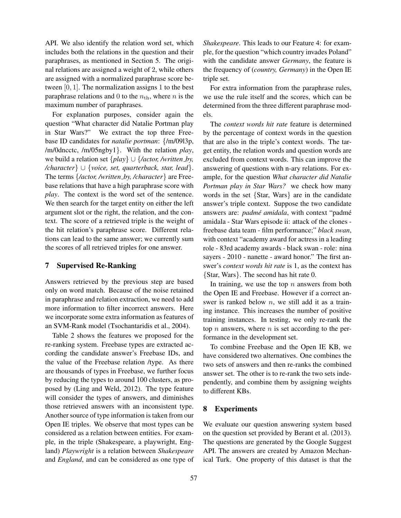API. We also identify the relation word set, which includes both the relations in the question and their paraphrases, as mentioned in Section 5. The original relations are assigned a weight of 2, while others are assigned with a normalized paraphrase score between  $[0, 1]$ . The normalization assigns 1 to the best paraphrase relations and 0 to the  $n_{\text{th}}$ , where n is the maximum number of paraphrases.

For explanation purposes, consider again the question "What character did Natalie Portman play in Star Wars?" We extract the top three Freebase ID candidates for *natalie portman*: {/m/09l3p, /m/0dncctc, /m/05ngby1}. With the relation *play*, we build a relation set {*play*} ∪ {*/actor, /written by, /character*} ∪ {*voice, set, quarterback, star, lead*}. The terms {*/actor, /written by, /character*} are Freebase relations that have a high paraphrase score with *play*. The context is the word set of the sentence. We then search for the target entity on either the left argument slot or the right, the relation, and the context. The score of a retrieved triple is the weight of the hit relation's paraphrase score. Different relations can lead to the same answer; we currently sum the scores of all retrieved triples for one answer.

## 7 Supervised Re-Ranking

Answers retrieved by the previous step are based only on word match. Because of the noise retained in paraphrase and relation extraction, we need to add more information to filter incorrect answers. Here we incorporate some extra information as features of an SVM-Rank model (Tsochantaridis et al., 2004).

Table 2 shows the features we proposed for the re-ranking system. Freebase types are extracted according the candidate answer's Freebase IDs, and the value of the Freebase relation /type. As there are thousands of types in Freebase, we further focus by reducing the types to around 100 clusters, as proposed by (Ling and Weld, 2012). The type feature will consider the types of answers, and diminishes those retrieved answers with an inconsistent type. Another source of type information is taken from our Open IE triples. We observe that most types can be considered as a relation between entities. For example, in the triple (Shakespeare, a playwright, England) *Playwright* is a relation between *Shakespeare* and *England*, and can be considered as one type of *Shakespeare*. This leads to our Feature 4: for example, for the question "which country invades Poland" with the candidate answer *Germany*, the feature is the frequency of (*country, Germany*) in the Open IE triple set.

For extra information from the paraphrase rules, we use the rule itself and the scores, which can be determined from the three different paraphrase models.

The *context words hit rate* feature is determined by the percentage of context words in the question that are also in the triple's context words. The target entity, the relation words and question words are excluded from context words. This can improve the answering of questions with n-ary relations. For example, for the question *What character did Natalie Portman play in Star Wars?* we check how many words in the set {Star, Wars} are in the candidate answer's triple context. Suppose the two candidate answers are: *padmé amidala*, with context "padmé amidala - Star Wars episode ii: attack of the clones freebase data team - film performance;" *black swan*, with context "academy award for actress in a leading role - 83rd academy awards - black swan - role: nina sayers - 2010 - nanette - award honor." The first answer's *context words hit rate* is 1, as the context has {Star, Wars}. The second has hit rate 0.

In training, we use the top  $n$  answers from both the Open IE and Freebase. However if a correct answer is ranked below  $n$ , we still add it as a training instance. This increases the number of positive training instances. In testing, we only re-rank the top  $n$  answers, where  $n$  is set according to the performance in the development set.

To combine Freebase and the Open IE KB, we have considered two alternatives. One combines the two sets of answers and then re-ranks the combined answer set. The other is to re-rank the two sets independently, and combine them by assigning weights to different KBs.

#### 8 Experiments

We evaluate our question answering system based on the question set provided by Berant et al. (2013). The questions are generated by the Google Suggest API. The answers are created by Amazon Mechanical Turk. One property of this dataset is that the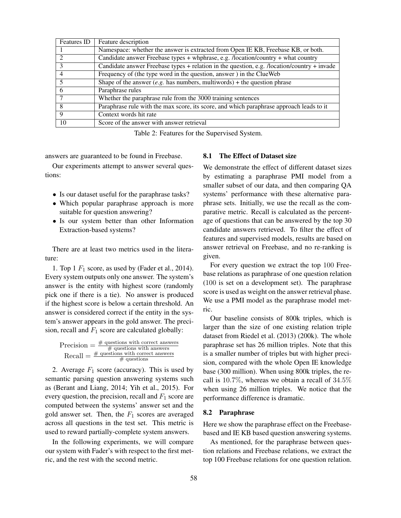| Features ID | Feature description                                                                         |
|-------------|---------------------------------------------------------------------------------------------|
|             | Namespace: whether the answer is extracted from Open IE KB, Freebase KB, or both.           |
|             | Candidate answer Freebase types + whphrase, e.g. /location/country + what country           |
|             | Candidate answer Freebase types + relation in the question, e.g. /location/country + invade |
| 4           | Frequency of (the type word in the question, answer) in the ClueWeb                         |
|             | Shape of the answer (e.g. has numbers, multiwords) + the question phrase                    |
| 6           | Paraphrase rules                                                                            |
|             | Whether the paraphrase rule from the 3000 training sentences                                |
| 8           | Paraphrase rule with the max score, its score, and which paraphrase approach leads to it    |
| 9           | Context words hit rate                                                                      |
| 10          | Score of the answer with answer retrieval                                                   |

Table 2: Features for the Supervised System.

answers are guaranteed to be found in Freebase.

Our experiments attempt to answer several questions:

- Is our dataset useful for the paraphrase tasks?
- Which popular paraphrase approach is more suitable for question answering?
- Is our system better than other Information Extraction-based systems?

There are at least two metrics used in the literature:

1. Top 1  $F_1$  score, as used by (Fader et al., 2014). Every system outputs only one answer. The system's answer is the entity with highest score (randomly pick one if there is a tie). No answer is produced if the highest score is below a certain threshold. An answer is considered correct if the entity in the system's answer appears in the gold answer. The precision, recall and  $F_1$  score are calculated globally:

|  | Precision $=$ $\frac{\text{\# questions with correct answers}}{\text{}}$ |
|--|--------------------------------------------------------------------------|
|  | $\#$ questions with answers                                              |
|  | $Recall = \frac{\# \text{ questions with correct answers}}{}$            |
|  | $\#$ questions                                                           |

2. Average  $F_1$  score (accuracy). This is used by semantic parsing question answering systems such as (Berant and Liang, 2014; Yih et al., 2015). For every question, the precision, recall and  $F_1$  score are computed between the systems' answer set and the gold answer set. Then, the  $F_1$  scores are averaged across all questions in the test set. This metric is used to reward partially-complete system answers.

In the following experiments, we will compare our system with Fader's with respect to the first metric, and the rest with the second metric.

## 8.1 The Effect of Dataset size

We demonstrate the effect of different dataset sizes by estimating a paraphrase PMI model from a smaller subset of our data, and then comparing QA systems' performance with these alternative paraphrase sets. Initially, we use the recall as the comparative metric. Recall is calculated as the percentage of questions that can be answered by the top 30 candidate answers retrieved. To filter the effect of features and supervised models, results are based on answer retrieval on Freebase, and no re-ranking is given.

For every question we extract the top 100 Freebase relations as paraphrase of one question relation (100 is set on a development set). The paraphrase score is used as weight on the answer retrieval phase. We use a PMI model as the paraphrase model metric.

Our baseline consists of 800k triples, which is larger than the size of one existing relation triple dataset from Riedel et al. (2013) (200k). The whole paraphrase set has 26 million triples. Note that this is a smaller number of triples but with higher precision, compared with the whole Open IE knowledge base (300 million). When using 800k triples, the recall is 10.7%, whereas we obtain a recall of 34.5% when using 26 million triples. We notice that the performance difference is dramatic.

#### 8.2 Paraphrase

Here we show the paraphrase effect on the Freebasebased and IE KB based question answering systems.

As mentioned, for the paraphrase between question relations and Freebase relations, we extract the top 100 Freebase relations for one question relation.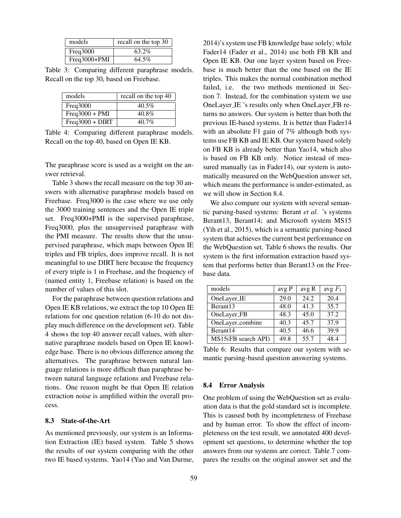| models         | recall on the top 30 |
|----------------|----------------------|
| Freq3000       | 63.2%                |
| $Freq3000+PMI$ | 64.5%                |

Table 3: Comparing different paraphrase models. Recall on the top 30, based on Freebase.

| models            | recall on the top 40 |
|-------------------|----------------------|
| Freq3000          | $40.5\%$             |
| $Freq3000 + PMI$  | $40.8\%$             |
| $Freq3000 + DIRT$ | $40.7\%$             |

Table 4: Comparing different paraphrase models. Recall on the top 40, based on Open IE KB.

The paraphrase score is used as a weight on the answer retrieval.

Table 3 shows the recall measure on the top 30 answers with alternative paraphrase models based on Freebase. Freq3000 is the case where we use only the 3000 training sentences and the Open IE triple set. Freq3000+PMI is the supervised paraphrase, Freq3000, plus the unsupervised paraphrase with the PMI measure. The results show that the unsupervised paraphrase, which maps between Open IE triples and FB triples, does improve recall. It is not meaningful to use DIRT here because the frequency of every triple is 1 in Freebase, and the frequency of (named entity 1, Freebase relation) is based on the number of values of this slot.

For the paraphrase between question relations and Open IE KB relations, we extract the top 10 Open IE relations for one question relation (6-10 do not display much difference on the development set). Table 4 shows the top 40 answer recall values, with alternative paraphrase models based on Open IE knowledge base. There is no obvious difference among the alternatives. The paraphrase between natural language relations is more difficult than paraphrase between natural language relations and Freebase relations. One reason might be that Open IE relation extraction noise is amplified within the overall process.

## 8.3 State-of-the-Art

As mentioned previously, our system is an Information Extraction (IE) based system. Table 5 shows the results of our system comparing with the other two IE based systems. Yao14 (Yao and Van Durme, 2014)'s system use FB knowledge base solely; while Fader14 (Fader et al., 2014) use both FB KB and Open IE KB. Our one layer system based on Freebase is much better than the one based on the IE triples. This makes the normal combination method failed, i.e. the two methods mentioned in Section 7. Instead, for the combination system we use OneLayer IE 's results only when OneLayer FB returns no answers. Our system is better than both the previous IE-based systems. It is better than Fader14 with an absolute F1 gain of 7% although both systems use FB KB and IE KB. Our system based solely on FB KB is already better than Yao14, which also is based on FB KB only. Notice instead of measured manually (as in Fader14), our system is automatically measured on the WebQuestion answer set, which means the performance is under-estimated, as we will show in Section 8.4.

We also compare our system with several semantic parsing-based systems: Berant *et al.* 's systems Berant13, Berant14; and Microsoft system MS15 (Yih et al., 2015), which is a semantic parsing-based system that achieves the current best performance on the WebQuestion set. Table 6 shows the results. Our system is the first information extraction based system that performs better than Berant13 on the Freebase data.

| models               | avg P | avg R | avg $F_1$ |
|----------------------|-------|-------|-----------|
| OneLayer_IE          | 29.0  | 24.2  | 20.4      |
| Berant <sub>13</sub> | 48.0  | 41.3  | 35.7      |
| OneLayer_FB          | 48.3  | 45.0  | 37.2      |
| OneLayer_combine     | 40.3  | 45.7  | 37.9      |
| Berant14             | 40.5  | 46.6  | 39.9      |
| MS15(FB search API)  | 49.8  | 55.7  | 48.4      |

Table 6: Results that compare our system with semantic parsing-based question answering systems.

## 8.4 Error Analysis

One problem of using the WebQuestion set as evaluation data is that the gold standard set is incomplete. This is caused both by incompleteness of Freebase and by human error. To show the effect of incompleteness on the test result, we annotated 400 development set questions, to determine whether the top answers from our systems are correct. Table 7 compares the results on the original answer set and the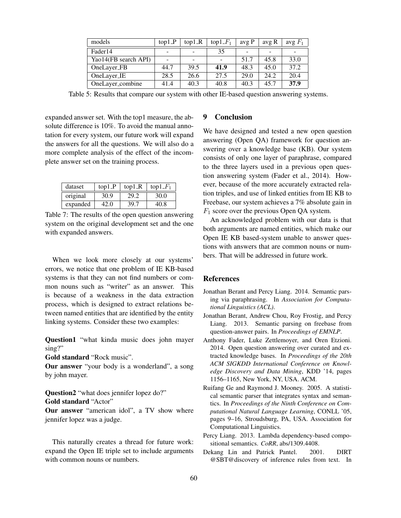| models               | $\text{top1} \, P$       | $\text{top1}$ <sub>-R</sub> | top $1_F_1$ | avgP | avg R | avg $F_1$ |
|----------------------|--------------------------|-----------------------------|-------------|------|-------|-----------|
| Fader <sub>14</sub>  | $\overline{\phantom{0}}$ |                             | 35          |      | -     |           |
| Yao14(FB search API) |                          |                             |             | 51.7 | 45.8  | 33.0      |
| OneLayer_FB          | 44.7                     | 39.5                        | 41.9        | 48.3 | 45.0  | 37.2      |
| OneLayer_IE          | 28.5                     | 26.6                        | 27.5        | 29.0 | 24.2  | 20.4      |
| OneLayer_combine     | 41.4                     | 40.3                        | 40.8        | 40.3 | 45.7  | 37.9      |

Table 5: Results that compare our system with other IE-based question answering systems.

expanded answer set. With the top1 measure, the absolute difference is 10%. To avoid the manual annotation for every system, our future work will expand the answers for all the questions. We will also do a more complete analysis of the effect of the incomplete answer set on the training process.

| dataset  | $top1_P$ | $top1_R$ | top1 $-F_1$ |  |
|----------|----------|----------|-------------|--|
| original | 30.9     | 29.2     | 30.0        |  |
| expanded | 42.0     | 39.7     | 40 R        |  |

Table 7: The results of the open question answering system on the original development set and the one with expanded answers.

When we look more closely at our systems' errors, we notice that one problem of IE KB-based systems is that they can not find numbers or common nouns such as "writer" as an answer. This is because of a weakness in the data extraction process, which is designed to extract relations between named entities that are identified by the entity linking systems. Consider these two examples:

Question1 "what kinda music does john mayer sing?"

Gold standard "Rock music".

Our answer "your body is a wonderland", a song by john mayer.

Question2 "what does jennifer lopez do?" Gold standard "Actor"

Our answer "american idol", a TV show where jennifer lopez was a judge.

This naturally creates a thread for future work: expand the Open IE triple set to include arguments with common nouns or numbers.

## 9 Conclusion

We have designed and tested a new open question answering (Open QA) framework for question answering over a knowledge base (KB). Our system consists of only one layer of paraphrase, compared to the three layers used in a previous open question answering system (Fader et al., 2014). However, because of the more accurately extracted relation triples, and use of linked entities from IE KB to Freebase, our system achieves a 7% absolute gain in  $F_1$  score over the previous Open QA system.

An acknowledged problem with our data is that both arguments are named entities, which make our Open IE KB based-system unable to answer questions with answers that are common nouns or numbers. That will be addressed in future work.

#### **References**

- Jonathan Berant and Percy Liang. 2014. Semantic parsing via paraphrasing. In *Association for Computational Linguistics (ACL)*.
- Jonathan Berant, Andrew Chou, Roy Frostig, and Percy Liang. 2013. Semantic parsing on freebase from question-answer pairs. In *Proceedings of EMNLP*.
- Anthony Fader, Luke Zettlemoyer, and Oren Etzioni. 2014. Open question answering over curated and extracted knowledge bases. In *Proceedings of the 20th ACM SIGKDD International Conference on Knowledge Discovery and Data Mining*, KDD '14, pages 1156–1165, New York, NY, USA. ACM.
- Ruifang Ge and Raymond J. Mooney. 2005. A statistical semantic parser that integrates syntax and semantics. In *Proceedings of the Ninth Conference on Computational Natural Language Learning*, CONLL '05, pages 9–16, Stroudsburg, PA, USA. Association for Computational Linguistics.
- Percy Liang. 2013. Lambda dependency-based compositional semantics. *CoRR*, abs/1309.4408.
- Dekang Lin and Patrick Pantel. 2001. DIRT @SBT@discovery of inference rules from text. In